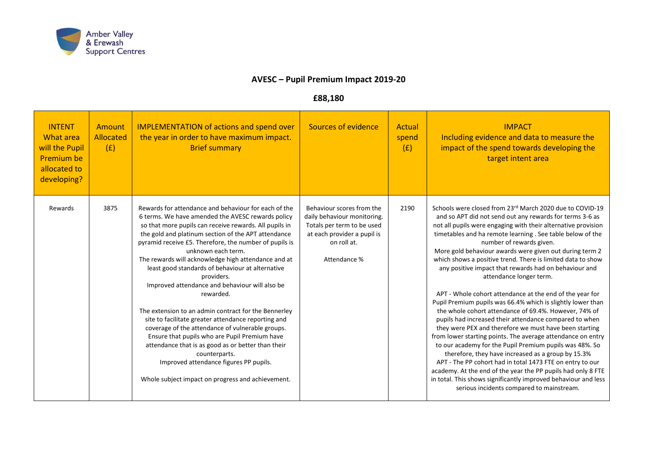

## **AVESC – Pupil Premium Impact 2019-20**

## **£88,180**

| <b>INTENT</b><br><b>What area</b><br>will the Pupil<br><b>Premium be</b><br>allocated to<br>developing? | Amount<br><b>Allocated</b><br>(E) | <b>IMPLEMENTATION of actions and spend over</b><br>the year in order to have maximum impact.<br><b>Brief summary</b>                                                                                                                                                                                                                                                                                                                                                                                                                                                                                                                                                                                                                                                                                                                                                                         | Sources of evidence                                                                                                                                  | Actual<br>spend<br>(E) | <b>IMPACT</b><br>Including evidence and data to measure the<br>impact of the spend towards developing the<br>target intent area                                                                                                                                                                                                                                                                                                                                                                                                                                                                                                                                                                                                                                                                                                                                                                                                                                                                                                                                                                                                                                                                                                   |
|---------------------------------------------------------------------------------------------------------|-----------------------------------|----------------------------------------------------------------------------------------------------------------------------------------------------------------------------------------------------------------------------------------------------------------------------------------------------------------------------------------------------------------------------------------------------------------------------------------------------------------------------------------------------------------------------------------------------------------------------------------------------------------------------------------------------------------------------------------------------------------------------------------------------------------------------------------------------------------------------------------------------------------------------------------------|------------------------------------------------------------------------------------------------------------------------------------------------------|------------------------|-----------------------------------------------------------------------------------------------------------------------------------------------------------------------------------------------------------------------------------------------------------------------------------------------------------------------------------------------------------------------------------------------------------------------------------------------------------------------------------------------------------------------------------------------------------------------------------------------------------------------------------------------------------------------------------------------------------------------------------------------------------------------------------------------------------------------------------------------------------------------------------------------------------------------------------------------------------------------------------------------------------------------------------------------------------------------------------------------------------------------------------------------------------------------------------------------------------------------------------|
| Rewards                                                                                                 | 3875                              | Rewards for attendance and behaviour for each of the<br>6 terms. We have amended the AVESC rewards policy<br>so that more pupils can receive rewards. All pupils in<br>the gold and platinum section of the APT attendance<br>pyramid receive £5. Therefore, the number of pupils is<br>unknown each term.<br>The rewards will acknowledge high attendance and at<br>least good standards of behaviour at alternative<br>providers.<br>Improved attendance and behaviour will also be<br>rewarded.<br>The extension to an admin contract for the Bennerley<br>site to facilitate greater attendance reporting and<br>coverage of the attendance of vulnerable groups.<br>Ensure that pupils who are Pupil Premium have<br>attendance that is as good as or better than their<br>counterparts.<br>Improved attendance figures PP pupils.<br>Whole subject impact on progress and achievement. | Behaviour scores from the<br>daily behaviour monitoring.<br>Totals per term to be used<br>at each provider a pupil is<br>on roll at.<br>Attendance % | 2190                   | Schools were closed from 23rd March 2020 due to COVID-19<br>and so APT did not send out any rewards for terms 3-6 as<br>not all pupils were engaging with their alternative provision<br>timetables and ha remote learning . See table below of the<br>number of rewards given.<br>More gold behaviour awards were given out during term 2<br>which shows a positive trend. There is limited data to show<br>any positive impact that rewards had on behaviour and<br>attendance longer term.<br>APT - Whole cohort attendance at the end of the year for<br>Pupil Premium pupils was 66.4% which is slightly lower than<br>the whole cohort attendance of 69.4%. However, 74% of<br>pupils had increased their attendance compared to when<br>they were PEX and therefore we must have been starting<br>from lower starting points. The average attendance on entry<br>to our academy for the Pupil Premium pupils was 48%. So<br>therefore, they have increased as a group by 15.3%<br>APT - The PP cohort had in total 1473 FTE on entry to our<br>academy. At the end of the year the PP pupils had only 8 FTE<br>in total. This shows significantly improved behaviour and less<br>serious incidents compared to mainstream. |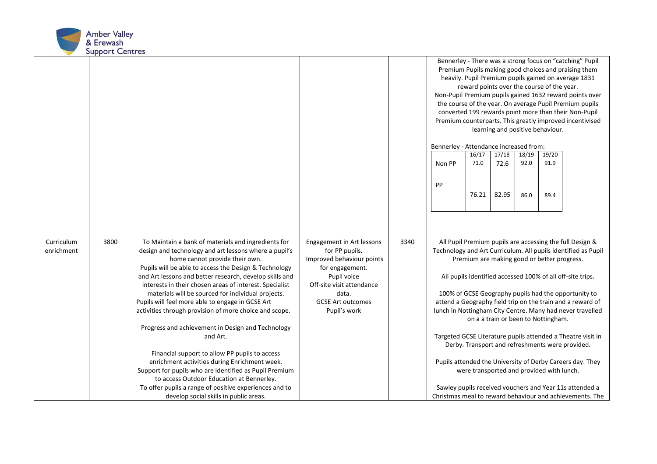

|                          |      |                                                                                                                                                                                                                                                                                                                                                                                                                                                                                                                                                                                                                                                                                                                                                                                                                                                                                  |                                                                                                                                                                                              |      | Bennerley - There was a strong focus on "catching" Pupil<br>Premium Pupils making good choices and praising them<br>heavily. Pupil Premium pupils gained on average 1831<br>reward points over the course of the year.<br>Non-Pupil Premium pupils gained 1632 reward points over<br>the course of the year. On average Pupil Premium pupils<br>converted 199 rewards point more than their Non-Pupil<br>Premium counterparts. This greatly improved incentivised<br>learning and positive behaviour.<br>Bennerley - Attendance increased from:<br>17/18<br>18/19<br>19/20<br>16/17                                                                                                                                                                                                                                  |               |               |              |              |  |
|--------------------------|------|----------------------------------------------------------------------------------------------------------------------------------------------------------------------------------------------------------------------------------------------------------------------------------------------------------------------------------------------------------------------------------------------------------------------------------------------------------------------------------------------------------------------------------------------------------------------------------------------------------------------------------------------------------------------------------------------------------------------------------------------------------------------------------------------------------------------------------------------------------------------------------|----------------------------------------------------------------------------------------------------------------------------------------------------------------------------------------------|------|----------------------------------------------------------------------------------------------------------------------------------------------------------------------------------------------------------------------------------------------------------------------------------------------------------------------------------------------------------------------------------------------------------------------------------------------------------------------------------------------------------------------------------------------------------------------------------------------------------------------------------------------------------------------------------------------------------------------------------------------------------------------------------------------------------------------|---------------|---------------|--------------|--------------|--|
|                          |      |                                                                                                                                                                                                                                                                                                                                                                                                                                                                                                                                                                                                                                                                                                                                                                                                                                                                                  |                                                                                                                                                                                              |      | Non PP<br>PP                                                                                                                                                                                                                                                                                                                                                                                                                                                                                                                                                                                                                                                                                                                                                                                                         | 71.0<br>76.21 | 72.6<br>82.95 | 92.0<br>86.0 | 91.9<br>89.4 |  |
| Curriculum<br>enrichment | 3800 | To Maintain a bank of materials and ingredients for<br>design and technology and art lessons where a pupil's<br>home cannot provide their own.<br>Pupils will be able to access the Design & Technology<br>and Art lessons and better research, develop skills and<br>interests in their chosen areas of interest. Specialist<br>materials will be sourced for individual projects.<br>Pupils will feel more able to engage in GCSE Art<br>activities through provision of more choice and scope.<br>Progress and achievement in Design and Technology<br>and Art.<br>Financial support to allow PP pupils to access<br>enrichment activities during Enrichment week.<br>Support for pupils who are identified as Pupil Premium<br>to access Outdoor Education at Bennerley.<br>To offer pupils a range of positive experiences and to<br>develop social skills in public areas. | Engagement in Art lessons<br>for PP pupils.<br>Improved behaviour points<br>for engagement.<br>Pupil voice<br>Off-site visit attendance<br>data.<br><b>GCSE Art outcomes</b><br>Pupil's work | 3340 | All Pupil Premium pupils are accessing the full Design &<br>Technology and Art Curriculum. All pupils identified as Pupil<br>Premium are making good or better progress.<br>All pupils identified accessed 100% of all off-site trips.<br>100% of GCSE Geography pupils had the opportunity to<br>attend a Geography field trip on the train and a reward of<br>lunch in Nottingham City Centre. Many had never travelled<br>on a a train or been to Nottingham.<br>Targeted GCSE Literature pupils attended a Theatre visit in<br>Derby. Transport and refreshments were provided.<br>Pupils attended the University of Derby Careers day. They<br>were transported and provided with lunch.<br>Sawley pupils received vouchers and Year 11s attended a<br>Christmas meal to reward behaviour and achievements. The |               |               |              |              |  |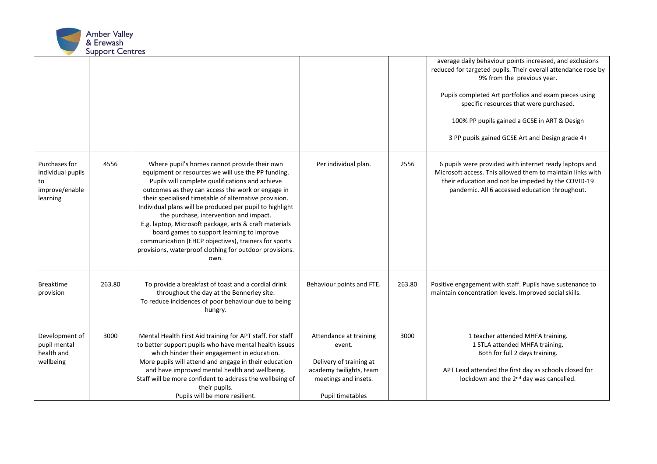

|                                                                        |        |                                                                                                                                                                                                                                                                                                                                                                                                                                                                                                                                                                                                              |                                                                                                                                    |        | average daily behaviour points increased, and exclusions<br>reduced for targeted pupils. Their overall attendance rose by<br>9% from the previous year.<br>Pupils completed Art portfolios and exam pieces using<br>specific resources that were purchased.<br>100% PP pupils gained a GCSE in ART & Design<br>3 PP pupils gained GCSE Art and Design grade 4+ |
|------------------------------------------------------------------------|--------|--------------------------------------------------------------------------------------------------------------------------------------------------------------------------------------------------------------------------------------------------------------------------------------------------------------------------------------------------------------------------------------------------------------------------------------------------------------------------------------------------------------------------------------------------------------------------------------------------------------|------------------------------------------------------------------------------------------------------------------------------------|--------|----------------------------------------------------------------------------------------------------------------------------------------------------------------------------------------------------------------------------------------------------------------------------------------------------------------------------------------------------------------|
| Purchases for<br>individual pupils<br>to<br>improve/enable<br>learning | 4556   | Where pupil's homes cannot provide their own<br>equipment or resources we will use the PP funding.<br>Pupils will complete qualifications and achieve<br>outcomes as they can access the work or engage in<br>their specialised timetable of alternative provision.<br>Individual plans will be produced per pupil to highlight<br>the purchase, intervention and impact.<br>E.g. laptop, Microsoft package, arts & craft materials<br>board games to support learning to improve<br>communication (EHCP objectives), trainers for sports<br>provisions, waterproof clothing for outdoor provisions.<br>own. | Per individual plan.                                                                                                               | 2556   | 6 pupils were provided with internet ready laptops and<br>Microsoft access. This allowed them to maintain links with<br>their education and not be impeded by the COVID-19<br>pandemic. All 6 accessed education throughout.                                                                                                                                   |
| <b>Breaktime</b><br>provision                                          | 263.80 | To provide a breakfast of toast and a cordial drink<br>throughout the day at the Bennerley site.<br>To reduce incidences of poor behaviour due to being<br>hungry.                                                                                                                                                                                                                                                                                                                                                                                                                                           | Behaviour points and FTE.                                                                                                          | 263.80 | Positive engagement with staff. Pupils have sustenance to<br>maintain concentration levels. Improved social skills.                                                                                                                                                                                                                                            |
| Development of<br>pupil mental<br>health and<br>wellbeing              | 3000   | Mental Health First Aid training for APT staff. For staff<br>to better support pupils who have mental health issues<br>which hinder their engagement in education.<br>More pupils will attend and engage in their education<br>and have improved mental health and wellbeing.<br>Staff will be more confident to address the wellbeing of<br>their pupils.<br>Pupils will be more resilient.                                                                                                                                                                                                                 | Attendance at training<br>event.<br>Delivery of training at<br>academy twilights, team<br>meetings and insets.<br>Pupil timetables | 3000   | 1 teacher attended MHFA training.<br>1 STLA attended MHFA training.<br>Both for full 2 days training.<br>APT Lead attended the first day as schools closed for<br>lockdown and the 2 <sup>nd</sup> day was cancelled.                                                                                                                                          |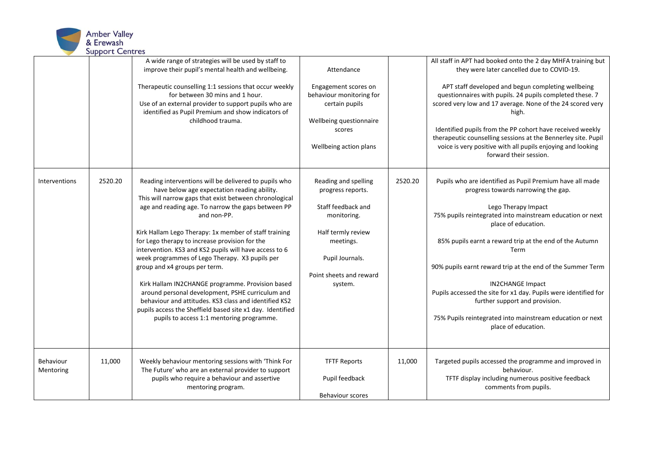

|                        |         | A wide range of strategies will be used by staff to<br>improve their pupil's mental health and wellbeing.<br>Therapeutic counselling 1:1 sessions that occur weekly<br>for between 30 mins and 1 hour.<br>Use of an external provider to support pupils who are<br>identified as Pupil Premium and show indicators of<br>childhood trauma.                                                                                                                                                                                                                                                                                                                                                                                                                             | Attendance<br>Engagement scores on<br>behaviour monitoring for<br>certain pupils<br>Wellbeing questionnaire<br>scores<br>Wellbeing action plans                            |         | All staff in APT had booked onto the 2 day MHFA training but<br>they were later cancelled due to COVID-19.<br>APT staff developed and begun completing wellbeing<br>questionnaires with pupils. 24 pupils completed these. 7<br>scored very low and 17 average. None of the 24 scored very<br>high.<br>Identified pupils from the PP cohort have received weekly<br>therapeutic counselling sessions at the Bennerley site. Pupil<br>voice is very positive with all pupils enjoying and looking<br>forward their session.                                      |
|------------------------|---------|------------------------------------------------------------------------------------------------------------------------------------------------------------------------------------------------------------------------------------------------------------------------------------------------------------------------------------------------------------------------------------------------------------------------------------------------------------------------------------------------------------------------------------------------------------------------------------------------------------------------------------------------------------------------------------------------------------------------------------------------------------------------|----------------------------------------------------------------------------------------------------------------------------------------------------------------------------|---------|-----------------------------------------------------------------------------------------------------------------------------------------------------------------------------------------------------------------------------------------------------------------------------------------------------------------------------------------------------------------------------------------------------------------------------------------------------------------------------------------------------------------------------------------------------------------|
| <b>Interventions</b>   | 2520.20 | Reading interventions will be delivered to pupils who<br>have below age expectation reading ability.<br>This will narrow gaps that exist between chronological<br>age and reading age. To narrow the gaps between PP<br>and non-PP.<br>Kirk Hallam Lego Therapy: 1x member of staff training<br>for Lego therapy to increase provision for the<br>intervention. KS3 and KS2 pupils will have access to 6<br>week programmes of Lego Therapy. X3 pupils per<br>group and x4 groups per term.<br>Kirk Hallam IN2CHANGE programme. Provision based<br>around personal development, PSHE curriculum and<br>behaviour and attitudes. KS3 class and identified KS2<br>pupils access the Sheffield based site x1 day. Identified<br>pupils to access 1:1 mentoring programme. | Reading and spelling<br>progress reports.<br>Staff feedback and<br>monitoring.<br>Half termly review<br>meetings.<br>Pupil Journals.<br>Point sheets and reward<br>system. | 2520.20 | Pupils who are identified as Pupil Premium have all made<br>progress towards narrowing the gap.<br>Lego Therapy Impact<br>75% pupils reintegrated into mainstream education or next<br>place of education.<br>85% pupils earnt a reward trip at the end of the Autumn<br>Term<br>90% pupils earnt reward trip at the end of the Summer Term<br><b>IN2CHANGE Impact</b><br>Pupils accessed the site for x1 day. Pupils were identified for<br>further support and provision.<br>75% Pupils reintegrated into mainstream education or next<br>place of education. |
| Behaviour<br>Mentoring | 11,000  | Weekly behaviour mentoring sessions with 'Think For<br>The Future' who are an external provider to support<br>pupils who require a behaviour and assertive<br>mentoring program.                                                                                                                                                                                                                                                                                                                                                                                                                                                                                                                                                                                       | <b>TFTF Reports</b><br>Pupil feedback<br><b>Behaviour scores</b>                                                                                                           | 11,000  | Targeted pupils accessed the programme and improved in<br>behaviour.<br>TFTF display including numerous positive feedback<br>comments from pupils.                                                                                                                                                                                                                                                                                                                                                                                                              |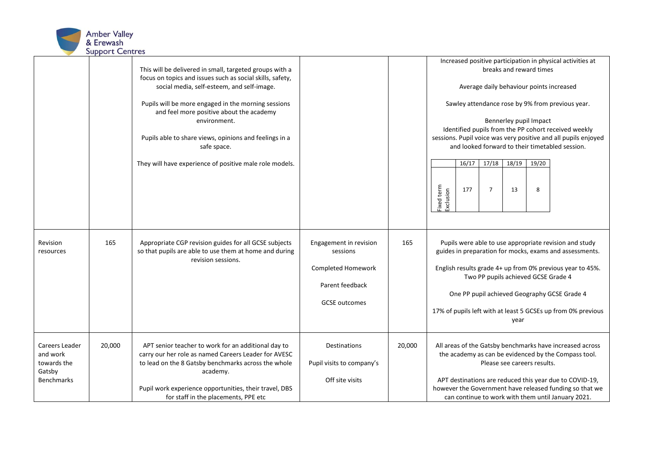

|                                                                          |        | This will be delivered in small, targeted groups with a<br>focus on topics and issues such as social skills, safety,<br>social media, self-esteem, and self-image.<br>Pupils will be more engaged in the morning sessions<br>and feel more positive about the academy<br>environment.<br>Pupils able to share views, opinions and feelings in a<br>safe space.<br>They will have experience of positive male role models. |                                                                                                     |        | Increased positive participation in physical activities at<br>breaks and reward times<br>Average daily behaviour points increased<br>Sawley attendance rose by 9% from previous year.<br>Bennerley pupil Impact<br>Identified pupils from the PP cohort received weekly<br>sessions. Pupil voice was very positive and all pupils enjoyed<br>and looked forward to their timetabled session.<br>$17/18$ $18/19$<br>16/17<br>19/20<br>Fixed term<br>Exclusion<br>177<br>$\overline{7}$<br>13<br>8 |
|--------------------------------------------------------------------------|--------|---------------------------------------------------------------------------------------------------------------------------------------------------------------------------------------------------------------------------------------------------------------------------------------------------------------------------------------------------------------------------------------------------------------------------|-----------------------------------------------------------------------------------------------------|--------|--------------------------------------------------------------------------------------------------------------------------------------------------------------------------------------------------------------------------------------------------------------------------------------------------------------------------------------------------------------------------------------------------------------------------------------------------------------------------------------------------|
| Revision<br>resources                                                    | 165    | Appropriate CGP revision guides for all GCSE subjects<br>so that pupils are able to use them at home and during<br>revision sessions.                                                                                                                                                                                                                                                                                     | Engagement in revision<br>sessions<br>Completed Homework<br>Parent feedback<br><b>GCSE</b> outcomes | 165    | Pupils were able to use appropriate revision and study<br>guides in preparation for mocks, exams and assessments.<br>English results grade 4+ up from 0% previous year to 45%.<br>Two PP pupils achieved GCSE Grade 4<br>One PP pupil achieved Geography GCSE Grade 4<br>17% of pupils left with at least 5 GCSEs up from 0% previous<br>year                                                                                                                                                    |
| Careers Leader<br>and work<br>towards the<br>Gatsby<br><b>Benchmarks</b> | 20,000 | APT senior teacher to work for an additional day to<br>carry our her role as named Careers Leader for AVESC<br>to lead on the 8 Gatsby benchmarks across the whole<br>academy.<br>Pupil work experience opportunities, their travel, DBS<br>for staff in the placements, PPE etc                                                                                                                                          | Destinations<br>Pupil visits to company's<br>Off site visits                                        | 20,000 | All areas of the Gatsby benchmarks have increased across<br>the academy as can be evidenced by the Compass tool.<br>Please see careers results.<br>APT destinations are reduced this year due to COVID-19,<br>however the Government have released funding so that we<br>can continue to work with them until January 2021.                                                                                                                                                                      |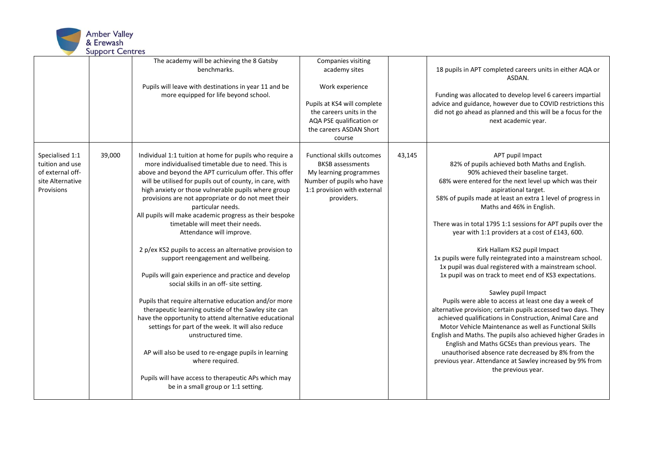

|                                                                                          |        | The academy will be achieving the 8 Gatsby<br>benchmarks.<br>Pupils will leave with destinations in year 11 and be<br>more equipped for life beyond school.                                                                                                                                                                                                                                                                                                                                                                                                                                                                                                                                                                                                                                                                                                                                                                                                                                                                                                                                                                          | Companies visiting<br>academy sites<br>Work experience<br>Pupils at KS4 will complete<br>the careers units in the<br>AQA PSE qualification or<br>the careers ASDAN Short<br>course |        | 18 pupils in APT completed careers units in either AQA or<br>ASDAN.<br>Funding was allocated to develop level 6 careers impartial<br>advice and guidance, however due to COVID restrictions this<br>did not go ahead as planned and this will be a focus for the<br>next academic year.                                                                                                                                                                                                                                                                                                                                                                                                                                                                                                                                                                                                                                                                                                                                                                                                                                                                          |
|------------------------------------------------------------------------------------------|--------|--------------------------------------------------------------------------------------------------------------------------------------------------------------------------------------------------------------------------------------------------------------------------------------------------------------------------------------------------------------------------------------------------------------------------------------------------------------------------------------------------------------------------------------------------------------------------------------------------------------------------------------------------------------------------------------------------------------------------------------------------------------------------------------------------------------------------------------------------------------------------------------------------------------------------------------------------------------------------------------------------------------------------------------------------------------------------------------------------------------------------------------|------------------------------------------------------------------------------------------------------------------------------------------------------------------------------------|--------|------------------------------------------------------------------------------------------------------------------------------------------------------------------------------------------------------------------------------------------------------------------------------------------------------------------------------------------------------------------------------------------------------------------------------------------------------------------------------------------------------------------------------------------------------------------------------------------------------------------------------------------------------------------------------------------------------------------------------------------------------------------------------------------------------------------------------------------------------------------------------------------------------------------------------------------------------------------------------------------------------------------------------------------------------------------------------------------------------------------------------------------------------------------|
| Specialised 1:1<br>tuition and use<br>of external off-<br>site Alternative<br>Provisions | 39,000 | Individual 1:1 tuition at home for pupils who require a<br>more individualised timetable due to need. This is<br>above and beyond the APT curriculum offer. This offer<br>will be utilised for pupils out of county, in care, with<br>high anxiety or those vulnerable pupils where group<br>provisions are not appropriate or do not meet their<br>particular needs.<br>All pupils will make academic progress as their bespoke<br>timetable will meet their needs.<br>Attendance will improve.<br>2 p/ex KS2 pupils to access an alternative provision to<br>support reengagement and wellbeing.<br>Pupils will gain experience and practice and develop<br>social skills in an off- site setting.<br>Pupils that require alternative education and/or more<br>therapeutic learning outside of the Sawley site can<br>have the opportunity to attend alternative educational<br>settings for part of the week. It will also reduce<br>unstructured time.<br>AP will also be used to re-engage pupils in learning<br>where required.<br>Pupils will have access to therapeutic APs which may<br>be in a small group or 1:1 setting. | <b>Functional skills outcomes</b><br><b>BKSB</b> assessments<br>My learning programmes<br>Number of pupils who have<br>1:1 provision with external<br>providers.                   | 43,145 | APT pupil Impact<br>82% of pupils achieved both Maths and English.<br>90% achieved their baseline target.<br>68% were entered for the next level up which was their<br>aspirational target.<br>58% of pupils made at least an extra 1 level of progress in<br>Maths and 46% in English.<br>There was in total 1795 1:1 sessions for APT pupils over the<br>year with 1:1 providers at a cost of £143, 600.<br>Kirk Hallam KS2 pupil Impact<br>1x pupils were fully reintegrated into a mainstream school.<br>1x pupil was dual registered with a mainstream school.<br>1x pupil was on track to meet end of KS3 expectations.<br>Sawley pupil Impact<br>Pupils were able to access at least one day a week of<br>alternative provision; certain pupils accessed two days. They<br>achieved qualifications in Construction, Animal Care and<br>Motor Vehicle Maintenance as well as Functional Skills<br>English and Maths. The pupils also achieved higher Grades in<br>English and Maths GCSEs than previous years. The<br>unauthorised absence rate decreased by 8% from the<br>previous year. Attendance at Sawley increased by 9% from<br>the previous year. |